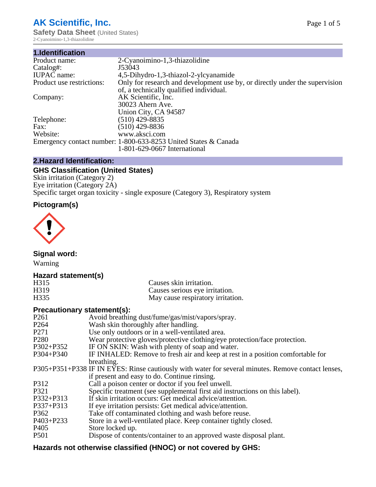# **AK Scientific, Inc.**

**Safety Data Sheet (United States)** 2-Cyanoimino-1,3-thiazolidine

| 1.Identification          |                                                                             |
|---------------------------|-----------------------------------------------------------------------------|
| Product name:             | 2-Cyanoimino-1,3-thiazolidine                                               |
| Catalog#:                 | J53043                                                                      |
| <b>IUPAC</b> name:        | 4,5-Dihydro-1,3-thiazol-2-ylcyanamide                                       |
| Product use restrictions: | Only for research and development use by, or directly under the supervision |
|                           | of, a technically qualified individual.                                     |
| Company:                  | AK Scientific, Inc.                                                         |
|                           | 30023 Ahern Ave.                                                            |
|                           | Union City, CA 94587                                                        |
| Telephone:                | $(510)$ 429-8835                                                            |
| Fax:                      | $(510)$ 429-8836                                                            |
| Website:                  | www.aksci.com                                                               |
|                           | Emergency contact number: 1-800-633-8253 United States & Canada             |
|                           | 1-801-629-0667 International                                                |
|                           |                                                                             |

# **2.Hazard Identification:**

# **GHS Classification (United States)**

Skin irritation (Category 2) Eye irritation (Category 2A) Specific target organ toxicity - single exposure (Category 3), Respiratory system

# **Pictogram(s)**



**Signal word:**

Warning

## **Hazard statement(s)**

| H <sub>315</sub>  | Causes skin irritation.           |
|-------------------|-----------------------------------|
| H <sub>3</sub> 19 | Causes serious eye irritation.    |
| H335              | May cause respiratory irritation. |

# **Precautionary statement(s):**

| P <sub>261</sub> | Avoid breathing dust/fume/gas/mist/vapors/spray.                                                   |
|------------------|----------------------------------------------------------------------------------------------------|
| P <sub>264</sub> | Wash skin thoroughly after handling.                                                               |
| P <sub>271</sub> | Use only outdoors or in a well-ventilated area.                                                    |
| P <sub>280</sub> | Wear protective gloves/protective clothing/eye protection/face protection.                         |
| P302+P352        | IF ON SKIN: Wash with plenty of soap and water.                                                    |
| $P304 + P340$    | IF INHALED: Remove to fresh air and keep at rest in a position comfortable for                     |
|                  | breathing.                                                                                         |
|                  | P305+P351+P338 IF IN EYES: Rinse cautiously with water for several minutes. Remove contact lenses, |
|                  | if present and easy to do. Continue rinsing.                                                       |
| P312             | Call a poison center or doctor if you feel unwell.                                                 |
| P321             | Specific treatment (see supplemental first aid instructions on this label).                        |
| P332+P313        | If skin irritation occurs: Get medical advice/attention.                                           |
| P337+P313        | If eye irritation persists: Get medical advice/attention.                                          |
| P362             | Take off contaminated clothing and wash before reuse.                                              |
| P403+P233        | Store in a well-ventilated place. Keep container tightly closed.                                   |
| P <sub>405</sub> | Store locked up.                                                                                   |
| P <sub>501</sub> | Dispose of contents/container to an approved waste disposal plant.                                 |
|                  |                                                                                                    |

# **Hazards not otherwise classified (HNOC) or not covered by GHS:**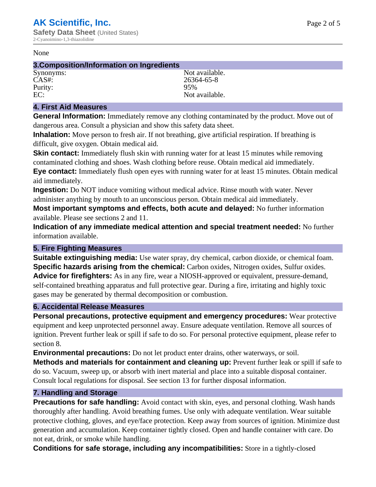#### None

### **3.Composition/Information on Ingredients**

Purity:<br>EC:

Synonyms: Not available. CAS#: 26364-65-8<br>Purity: 26364-65-8 Not available.

# **4. First Aid Measures**

**General Information:** Immediately remove any clothing contaminated by the product. Move out of dangerous area. Consult a physician and show this safety data sheet.

**Inhalation:** Move person to fresh air. If not breathing, give artificial respiration. If breathing is difficult, give oxygen. Obtain medical aid.

**Skin contact:** Immediately flush skin with running water for at least 15 minutes while removing contaminated clothing and shoes. Wash clothing before reuse. Obtain medical aid immediately. **Eye contact:** Immediately flush open eyes with running water for at least 15 minutes. Obtain medical aid immediately.

**Ingestion:** Do NOT induce vomiting without medical advice. Rinse mouth with water. Never administer anything by mouth to an unconscious person. Obtain medical aid immediately.

**Most important symptoms and effects, both acute and delayed:** No further information available. Please see sections 2 and 11.

**Indication of any immediate medical attention and special treatment needed:** No further information available.

## **5. Fire Fighting Measures**

**Suitable extinguishing media:** Use water spray, dry chemical, carbon dioxide, or chemical foam. **Specific hazards arising from the chemical:** Carbon oxides, Nitrogen oxides, Sulfur oxides. **Advice for firefighters:** As in any fire, wear a NIOSH-approved or equivalent, pressure-demand, self-contained breathing apparatus and full protective gear. During a fire, irritating and highly toxic gases may be generated by thermal decomposition or combustion.

## **6. Accidental Release Measures**

**Personal precautions, protective equipment and emergency procedures:** Wear protective equipment and keep unprotected personnel away. Ensure adequate ventilation. Remove all sources of ignition. Prevent further leak or spill if safe to do so. For personal protective equipment, please refer to section 8.

**Environmental precautions:** Do not let product enter drains, other waterways, or soil.

**Methods and materials for containment and cleaning up:** Prevent further leak or spill if safe to do so. Vacuum, sweep up, or absorb with inert material and place into a suitable disposal container. Consult local regulations for disposal. See section 13 for further disposal information.

## **7. Handling and Storage**

**Precautions for safe handling:** Avoid contact with skin, eyes, and personal clothing. Wash hands thoroughly after handling. Avoid breathing fumes. Use only with adequate ventilation. Wear suitable protective clothing, gloves, and eye/face protection. Keep away from sources of ignition. Minimize dust generation and accumulation. Keep container tightly closed. Open and handle container with care. Do not eat, drink, or smoke while handling.

**Conditions for safe storage, including any incompatibilities:** Store in a tightly-closed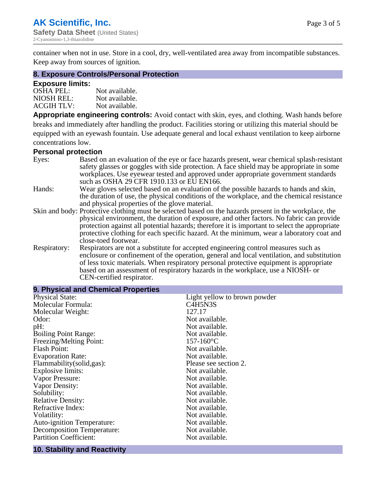container when not in use. Store in a cool, dry, well-ventilated area away from incompatible substances. Keep away from sources of ignition.

## **8. Exposure Controls/Personal Protection**

### **Exposure limits:**

| <b>OSHA PEL:</b>  | Not available. |
|-------------------|----------------|
| NIOSH REL:        | Not available. |
| <b>ACGIH TLV:</b> | Not available. |

**Appropriate engineering controls:** Avoid contact with skin, eyes, and clothing. Wash hands before breaks and immediately after handling the product. Facilities storing or utilizing this material should be equipped with an eyewash fountain. Use adequate general and local exhaust ventilation to keep airborne concentrations low.

#### **Personal protection**

| Eyes:        | Based on an evaluation of the eye or face hazards present, wear chemical splash-resistant<br>safety glasses or goggles with side protection. A face shield may be appropriate in some |  |  |
|--------------|---------------------------------------------------------------------------------------------------------------------------------------------------------------------------------------|--|--|
|              | workplaces. Use eyewear tested and approved under appropriate government standards<br>such as OSHA 29 CFR 1910.133 or EU EN166.                                                       |  |  |
| Hands:       | Wear gloves selected based on an evaluation of the possible hazards to hands and skin,                                                                                                |  |  |
|              | the duration of use, the physical conditions of the workplace, and the chemical resistance                                                                                            |  |  |
|              | and physical properties of the glove material.                                                                                                                                        |  |  |
|              | Skin and body: Protective clothing must be selected based on the hazards present in the workplace, the                                                                                |  |  |
|              | physical environment, the duration of exposure, and other factors. No fabric can provide                                                                                              |  |  |
|              | protection against all potential hazards; therefore it is important to select the appropriate                                                                                         |  |  |
|              | protective clothing for each specific hazard. At the minimum, wear a laboratory coat and                                                                                              |  |  |
|              | close-toed footwear.                                                                                                                                                                  |  |  |
| Respiratory: | Respirators are not a substitute for accepted engineering control measures such as<br>enclosure or confinement of the operation, general and local ventilation, and substitution      |  |  |
|              | of less toxic materials. When respiratory personal protective equipment is appropriate                                                                                                |  |  |
|              |                                                                                                                                                                                       |  |  |
|              | based on an assessment of respiratory hazards in the workplace, use a NIOSH- or                                                                                                       |  |  |
|              | CEN-certified respirator.                                                                                                                                                             |  |  |

| 9. Physical and Chemical Properties |                                                |  |  |
|-------------------------------------|------------------------------------------------|--|--|
| <b>Physical State:</b>              | Light yellow to brown powder                   |  |  |
| Molecular Formula:                  | C <sub>4</sub> H <sub>5</sub> N <sub>3</sub> S |  |  |
| Molecular Weight:                   | 127.17                                         |  |  |
| Odor:                               | Not available.                                 |  |  |
| pH:                                 | Not available.                                 |  |  |
| <b>Boiling Point Range:</b>         | Not available.                                 |  |  |
| Freezing/Melting Point:             | $157 - 160$ °C                                 |  |  |
| <b>Flash Point:</b>                 | Not available.                                 |  |  |
| <b>Evaporation Rate:</b>            | Not available.                                 |  |  |
| Flammability(solid,gas):            | Please see section 2.                          |  |  |
| Explosive limits:                   | Not available.                                 |  |  |
| Vapor Pressure:                     | Not available.                                 |  |  |
| Vapor Density:                      | Not available.                                 |  |  |
| Solubility:                         | Not available.                                 |  |  |
| <b>Relative Density:</b>            | Not available.                                 |  |  |
| Refractive Index:                   | Not available.                                 |  |  |
| Volatility:                         | Not available.                                 |  |  |
| <b>Auto-ignition Temperature:</b>   | Not available.                                 |  |  |
| <b>Decomposition Temperature:</b>   | Not available.                                 |  |  |
| <b>Partition Coefficient:</b>       | Not available.                                 |  |  |

# **10. Stability and Reactivity**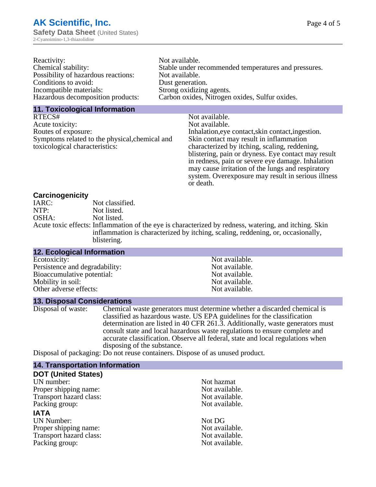| Reactivity:                         | Not available.                                       |
|-------------------------------------|------------------------------------------------------|
| Chemical stability:                 | Stable under recommended temperatures and pressures. |
| Possibility of hazardous reactions: | Not available.                                       |
| Conditions to avoid:                | Dust generation.                                     |
| Incompatible materials:             | Strong oxidizing agents.                             |
| Hazardous decomposition products:   | Carbon oxides, Nitrogen oxides, Sulfur oxides.       |

### **11. Toxicological Information**

| RTECS#                                         | Not available.                                      |
|------------------------------------------------|-----------------------------------------------------|
| Acute toxicity:                                | Not available.                                      |
| Routes of exposure:                            | Inhalation, eye contact, skin contact, ingestion.   |
| Symptoms related to the physical, chemical and | Skin contact may result in inflammation             |
| toxicological characteristics:                 | characterized by itching, scaling, reddening,       |
|                                                | blistering, pain or dryness. Eye contact may result |
|                                                | in redness, pain or severe eye damage. Inhalation   |
|                                                | may cause irritation of the lungs and respiratory   |
|                                                | system. Overexposure may result in serious illness  |

or death.

### **Carcinogenicity**

| IARC: | Not classified.                                                                                       |
|-------|-------------------------------------------------------------------------------------------------------|
| NTP:  | Not listed.                                                                                           |
| OSHA: | Not listed.                                                                                           |
|       | Acute toxic effects: Inflammation of the eye is characterized by redness, watering, and itching. Skin |
|       | inflammation is characterized by itching, scaling, reddening, or, occasionally,                       |
|       | blistering.                                                                                           |

| 12. Ecological Information     |                |
|--------------------------------|----------------|
| Ecotoxicity:                   | Not available. |
| Persistence and degradability: | Not available. |
| Bioaccumulative potential:     | Not available. |
| Mobility in soil:              | Not available. |
| Other adverse effects:         | Not available. |

### **13. Disposal Considerations**

Disposal of waste: Chemical waste generators must determine whether a discarded chemical is classified as hazardous waste. US EPA guidelines for the classification determination are listed in 40 CFR 261.3. Additionally, waste generators must consult state and local hazardous waste regulations to ensure complete and accurate classification. Observe all federal, state and local regulations when disposing of the substance.

Disposal of packaging: Do not reuse containers. Dispose of as unused product.

| <b>14. Transportation Information</b> |                |
|---------------------------------------|----------------|
| <b>DOT (United States)</b>            |                |
| UN number:                            | Not hazmat     |
| Proper shipping name:                 | Not available. |
| Transport hazard class:               | Not available. |
| Packing group:                        | Not available. |
| <b>IATA</b>                           |                |
| <b>UN Number:</b>                     | Not DG         |
| Proper shipping name:                 | Not available. |
| Transport hazard class:               | Not available. |
| Packing group:                        | Not available. |